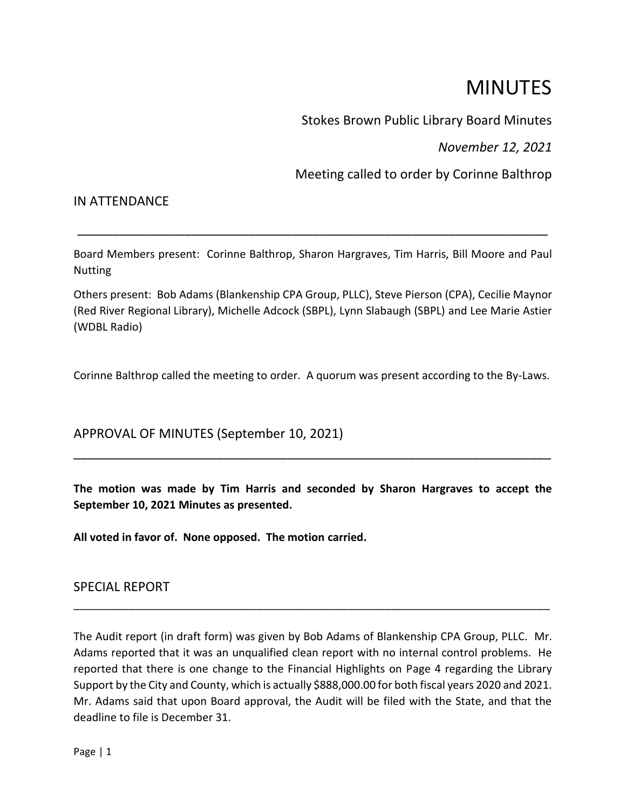# **MINUTES**

Stokes Brown Public Library Board Minutes

*November 12, 2021*

Meeting called to order by Corinne Balthrop

# IN ATTENDANCE

Board Members present: Corinne Balthrop, Sharon Hargraves, Tim Harris, Bill Moore and Paul Nutting

\_\_\_\_\_\_\_\_\_\_\_\_\_\_\_\_\_\_\_\_\_\_\_\_\_\_\_\_\_\_\_\_\_\_\_\_\_\_\_\_\_\_\_\_\_\_\_\_\_\_\_\_\_\_\_\_\_\_\_\_\_\_\_\_\_\_

Others present: Bob Adams (Blankenship CPA Group, PLLC), Steve Pierson (CPA), Cecilie Maynor (Red River Regional Library), Michelle Adcock (SBPL), Lynn Slabaugh (SBPL) and Lee Marie Astier (WDBL Radio)

Corinne Balthrop called the meeting to order. A quorum was present according to the By-Laws.

APPROVAL OF MINUTES (September 10, 2021)

**The motion was made by Tim Harris and seconded by Sharon Hargraves to accept the September 10, 2021 Minutes as presented.**

\_\_\_\_\_\_\_\_\_\_\_\_\_\_\_\_\_\_\_\_\_\_\_\_\_\_\_\_\_\_\_\_\_\_\_\_\_\_\_\_\_\_\_\_\_\_\_\_\_\_\_\_\_\_\_\_\_\_\_\_\_\_\_\_\_\_\_

**All voted in favor of. None opposed. The motion carried.**

SPECIAL REPORT

The Audit report (in draft form) was given by Bob Adams of Blankenship CPA Group, PLLC. Mr. Adams reported that it was an unqualified clean report with no internal control problems. He reported that there is one change to the Financial Highlights on Page 4 regarding the Library Support by the City and County, which is actually \$888,000.00 for both fiscal years 2020 and 2021. Mr. Adams said that upon Board approval, the Audit will be filed with the State, and that the deadline to file is December 31.

\_\_\_\_\_\_\_\_\_\_\_\_\_\_\_\_\_\_\_\_\_\_\_\_\_\_\_\_\_\_\_\_\_\_\_\_\_\_\_\_\_\_\_\_\_\_\_\_\_\_\_\_\_\_\_\_\_\_\_\_\_\_\_\_\_\_\_\_\_\_\_\_\_\_\_\_\_\_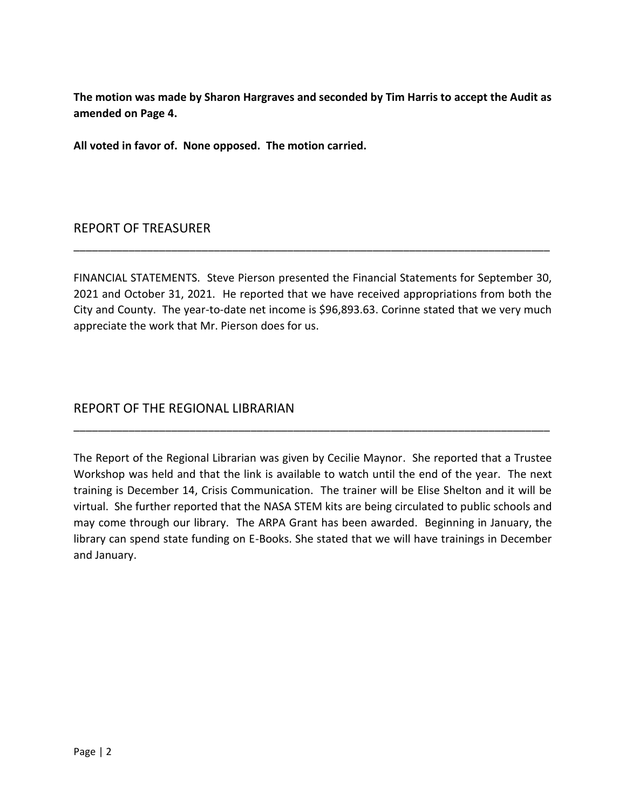**The motion was made by Sharon Hargraves and seconded by Tim Harris to accept the Audit as amended on Page 4.**

**All voted in favor of. None opposed. The motion carried.**

#### REPORT OF TREASURER

FINANCIAL STATEMENTS. Steve Pierson presented the Financial Statements for September 30, 2021 and October 31, 2021. He reported that we have received appropriations from both the City and County. The year-to-date net income is \$96,893.63. Corinne stated that we very much appreciate the work that Mr. Pierson does for us.

\_\_\_\_\_\_\_\_\_\_\_\_\_\_\_\_\_\_\_\_\_\_\_\_\_\_\_\_\_\_\_\_\_\_\_\_\_\_\_\_\_\_\_\_\_\_\_\_\_\_\_\_\_\_\_\_\_\_\_\_\_\_\_\_\_\_\_\_\_\_\_\_\_\_\_\_\_\_

# REPORT OF THE REGIONAL LIBRARIAN

The Report of the Regional Librarian was given by Cecilie Maynor. She reported that a Trustee Workshop was held and that the link is available to watch until the end of the year. The next training is December 14, Crisis Communication. The trainer will be Elise Shelton and it will be virtual. She further reported that the NASA STEM kits are being circulated to public schools and may come through our library. The ARPA Grant has been awarded. Beginning in January, the library can spend state funding on E-Books. She stated that we will have trainings in December and January.

\_\_\_\_\_\_\_\_\_\_\_\_\_\_\_\_\_\_\_\_\_\_\_\_\_\_\_\_\_\_\_\_\_\_\_\_\_\_\_\_\_\_\_\_\_\_\_\_\_\_\_\_\_\_\_\_\_\_\_\_\_\_\_\_\_\_\_\_\_\_\_\_\_\_\_\_\_\_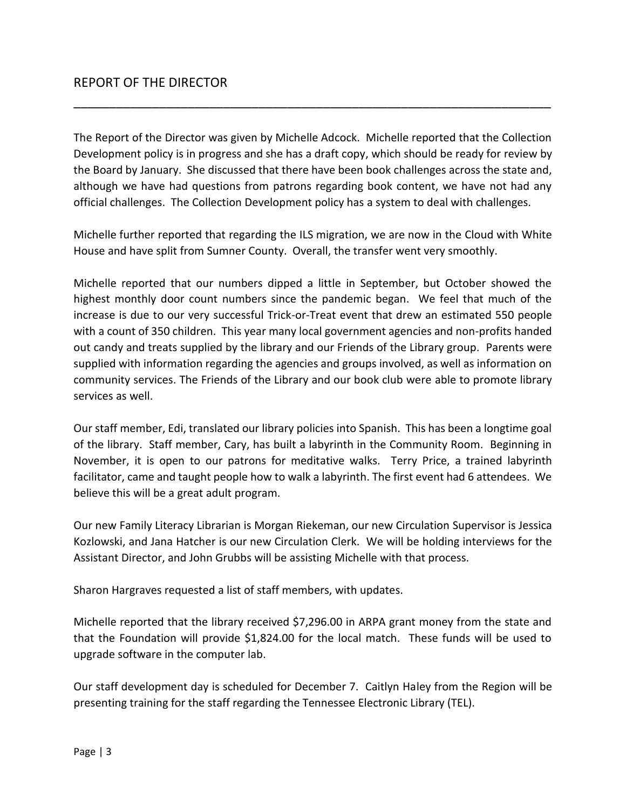The Report of the Director was given by Michelle Adcock. Michelle reported that the Collection Development policy is in progress and she has a draft copy, which should be ready for review by the Board by January. She discussed that there have been book challenges across the state and, although we have had questions from patrons regarding book content, we have not had any official challenges. The Collection Development policy has a system to deal with challenges.

\_\_\_\_\_\_\_\_\_\_\_\_\_\_\_\_\_\_\_\_\_\_\_\_\_\_\_\_\_\_\_\_\_\_\_\_\_\_\_\_\_\_\_\_\_\_\_\_\_\_\_\_\_\_\_\_\_\_\_\_\_\_\_\_\_\_\_

Michelle further reported that regarding the ILS migration, we are now in the Cloud with White House and have split from Sumner County. Overall, the transfer went very smoothly.

Michelle reported that our numbers dipped a little in September, but October showed the highest monthly door count numbers since the pandemic began. We feel that much of the increase is due to our very successful Trick-or-Treat event that drew an estimated 550 people with a count of 350 children. This year many local government agencies and non-profits handed out candy and treats supplied by the library and our Friends of the Library group. Parents were supplied with information regarding the agencies and groups involved, as well as information on community services. The Friends of the Library and our book club were able to promote library services as well.

Our staff member, Edi, translated our library policies into Spanish. This has been a longtime goal of the library. Staff member, Cary, has built a labyrinth in the Community Room. Beginning in November, it is open to our patrons for meditative walks. Terry Price, a trained labyrinth facilitator, came and taught people how to walk a labyrinth. The first event had 6 attendees. We believe this will be a great adult program.

Our new Family Literacy Librarian is Morgan Riekeman, our new Circulation Supervisor is Jessica Kozlowski, and Jana Hatcher is our new Circulation Clerk. We will be holding interviews for the Assistant Director, and John Grubbs will be assisting Michelle with that process.

Sharon Hargraves requested a list of staff members, with updates.

Michelle reported that the library received \$7,296.00 in ARPA grant money from the state and that the Foundation will provide \$1,824.00 for the local match. These funds will be used to upgrade software in the computer lab.

Our staff development day is scheduled for December 7. Caitlyn Haley from the Region will be presenting training for the staff regarding the Tennessee Electronic Library (TEL).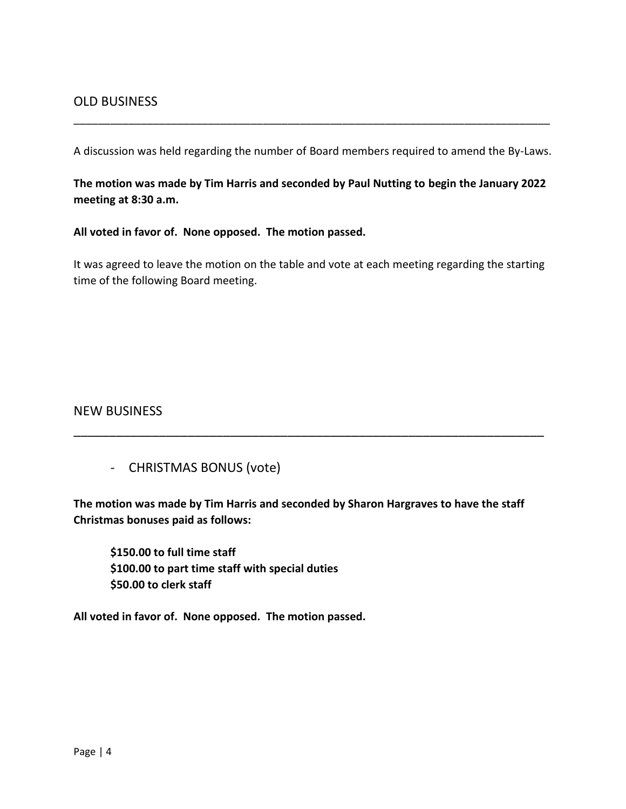A discussion was held regarding the number of Board members required to amend the By-Laws.

\_\_\_\_\_\_\_\_\_\_\_\_\_\_\_\_\_\_\_\_\_\_\_\_\_\_\_\_\_\_\_\_\_\_\_\_\_\_\_\_\_\_\_\_\_\_\_\_\_\_\_\_\_\_\_\_\_\_\_\_\_\_\_\_\_\_\_\_\_\_\_\_\_\_\_\_\_\_

**The motion was made by Tim Harris and seconded by Paul Nutting to begin the January 2022 meeting at 8:30 a.m.**

**All voted in favor of. None opposed. The motion passed.**

It was agreed to leave the motion on the table and vote at each meeting regarding the starting time of the following Board meeting.

### NEW BUSINESS

- CHRISTMAS BONUS (vote)

**The motion was made by Tim Harris and seconded by Sharon Hargraves to have the staff Christmas bonuses paid as follows:**

\_\_\_\_\_\_\_\_\_\_\_\_\_\_\_\_\_\_\_\_\_\_\_\_\_\_\_\_\_\_\_\_\_\_\_\_\_\_\_\_\_\_\_\_\_\_\_\_\_\_\_\_\_\_\_\_\_\_\_\_\_\_\_\_\_\_

**\$150.00 to full time staff \$100.00 to part time staff with special duties \$50.00 to clerk staff**

**All voted in favor of. None opposed. The motion passed.**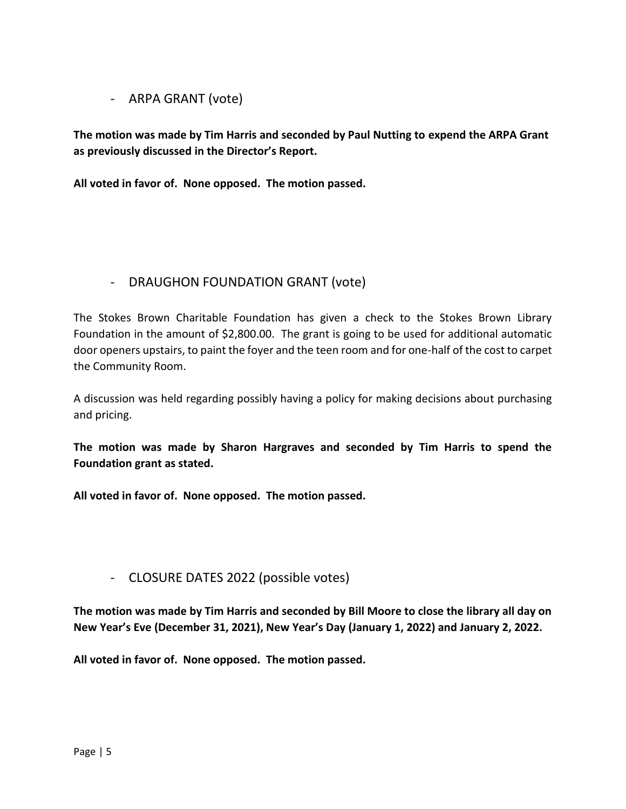#### - ARPA GRANT (vote)

**The motion was made by Tim Harris and seconded by Paul Nutting to expend the ARPA Grant as previously discussed in the Director's Report.**

**All voted in favor of. None opposed. The motion passed.**

# - DRAUGHON FOUNDATION GRANT (vote)

The Stokes Brown Charitable Foundation has given a check to the Stokes Brown Library Foundation in the amount of \$2,800.00. The grant is going to be used for additional automatic door openers upstairs, to paint the foyer and the teen room and for one-half of the cost to carpet the Community Room.

A discussion was held regarding possibly having a policy for making decisions about purchasing and pricing.

**The motion was made by Sharon Hargraves and seconded by Tim Harris to spend the Foundation grant as stated.**

**All voted in favor of. None opposed. The motion passed.**

# - CLOSURE DATES 2022 (possible votes)

**The motion was made by Tim Harris and seconded by Bill Moore to close the library all day on New Year's Eve (December 31, 2021), New Year's Day (January 1, 2022) and January 2, 2022.**

**All voted in favor of. None opposed. The motion passed.**